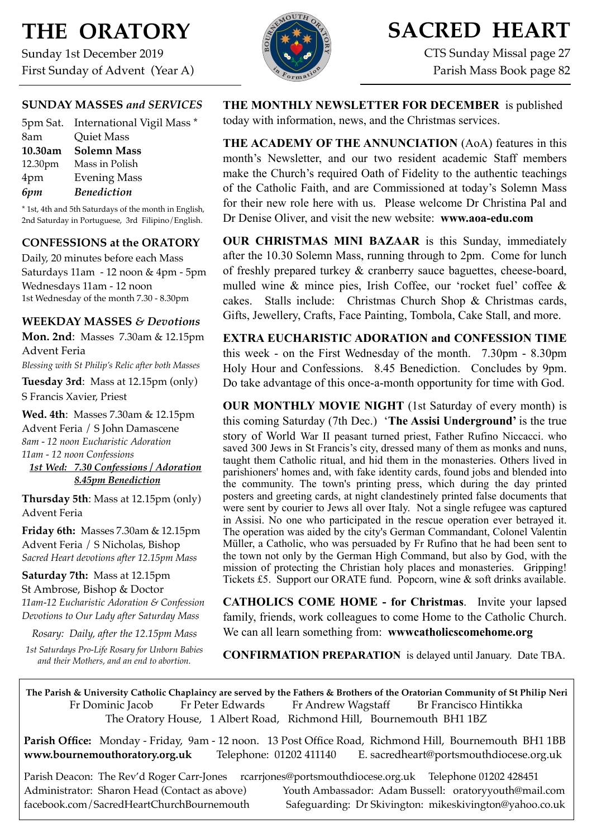# **THE ORATORY**

Sunday 1st December 2019 First Sunday of Advent (Year A)



# **SACRED HEART**

CTS Sunday Missal page 27 Parish Mass Book page 82

# **SUNDAY MASSES** *and SERVICES*

|         | 5pm Sat. International Vigil Mass * |
|---------|-------------------------------------|
| 8am     | <b>Quiet Mass</b>                   |
| 10.30am | <b>Solemn Mass</b>                  |
| 12.30pm | Mass in Polish                      |
| 4pm     | <b>Evening Mass</b>                 |
| 6pm     | <b>Benediction</b>                  |

\* 1st, 4th and 5th Saturdays of the month in English, 2nd Saturday in Portuguese, 3rd Filipino/English.

# **CONFESSIONS at the ORATORY**

Daily, 20 minutes before each Mass Saturdays 11am - 12 noon & 4pm - 5pm Wednesdays 11am - 12 noon 1st Wednesday of the month 7.30 - 8.30pm

### **WEEKDAY MASSES** *& Devotions*

**Mon. 2nd**: Masses 7.30am & 12.15pm Advent Feria *Blessing with St Philip's Relic after both Masses*

**Tuesday 3rd**: Mass at 12.15pm (only) S Francis Xavier, Priest

**Wed. 4th**: Masses 7.30am & 12.15pm Advent Feria / S John Damascene *8am - 12 noon Eucharistic Adoration 11am - 12 noon Confessions 1st Wed: 7.30 Confessions / Adoration*

 *8.45pm Benediction*

**Thursday 5th**: Mass at 12.15pm (only) Advent Feria

**Friday 6th:** Masses 7.30am & 12.15pm Advent Feria / S Nicholas, Bishop *Sacred Heart devotions after 12.15pm Mass*

**Saturday 7th:** Mass at 12.15pm St Ambrose, Bishop & Doctor *11am-12 Eucharistic Adoration & Confession Devotions to Our Lady after Saturday Mass*

*Rosary: Daily, after the 12.15pm Mass*

*1st Saturdays Pro-Life Rosary for Unborn Babies and their Mothers, and an end to abortion.*

**THE MONTHLY NEWSLETTER FOR DECEMBER** is published today with information, news, and the Christmas services.

**THE ACADEMY OF THE ANNUNCIATION** (AoA) features in this month's Newsletter, and our two resident academic Staff members make the Church's required Oath of Fidelity to the authentic teachings of the Catholic Faith, and are Commissioned at today's Solemn Mass for their new role here with us. Please welcome Dr Christina Pal and Dr Denise Oliver, and visit the new website: **www.aoa-edu.com**

**OUR CHRISTMAS MINI BAZAAR** is this Sunday, immediately after the 10.30 Solemn Mass, running through to 2pm. Come for lunch of freshly prepared turkey & cranberry sauce baguettes, cheese-board, mulled wine & mince pies, Irish Coffee, our 'rocket fuel' coffee & cakes. Stalls include: Christmas Church Shop & Christmas cards, Gifts, Jewellery, Crafts, Face Painting, Tombola, Cake Stall, and more.

**EXTRA EUCHARISTIC ADORATION and CONFESSION TIME** this week - on the First Wednesday of the month. 7.30pm - 8.30pm Holy Hour and Confessions. 8.45 Benediction. Concludes by 9pm. Do take advantage of this once-a-month opportunity for time with God.

**OUR MONTHLY MOVIE NIGHT** (1st Saturday of every month) is this coming Saturday (7th Dec.) '**The Assisi Underground'** is the true story of World War II peasant turned priest, Father Rufino Niccacci. who saved 300 Jews in St Francis's city, dressed many of them as monks and nuns, taught them [Catholic](https://en.wikipedia.org/wiki/Catholicism) ritual, and hid them in the monasteries. Others lived in parishioners' homes and, with fake identity cards, found jobs and blended into the community. The town's printing press, which during the day printed posters and greeting cards, at night clandestinely printed false documents that were sent by courier to Jews all over Italy. Not a single refugee was captured in Assisi. No one who participated in the rescue operation ever betrayed it. The operation was aided by the city's German [Commandant,](https://en.wikipedia.org/wiki/Commandant) Colonel [Valentin](https://en.wikipedia.org/w/index.php?title=Valentin_M%C3%BCller&action=edit&redlink=1)  [Müller,](https://en.wikipedia.org/w/index.php?title=Valentin_M%C3%BCller&action=edit&redlink=1) a Catholic, who was persuaded by Fr Rufino that he had been sent to the town not only by the [German High Command,](https://en.wikipedia.org/wiki/Oberkommando_der_Wehrmacht) but also by God, with the mission of protecting the Christian holy places and monasteries. Gripping! Tickets £5. Support our ORATE fund. Popcorn, wine & soft drinks available.

**CATHOLICS COME HOME - for Christmas**. Invite your lapsed family, friends, work colleagues to come Home to the Catholic Church. We can all learn something from: **wwwcatholicscomehome.org** 

**CONFIRMATION PREPARATION** is delayed until January. Date TBA.

**The Parish & University Catholic Chaplaincy are served by the Fathers & Brothers of the Oratorian Community of St Philip Neri**  Fr Dominic Jacob Fr Peter Edwards Fr Andrew Wagstaff Br Francisco Hintikka The Oratory House, 1 Albert Road, Richmond Hill, Bournemouth BH1 1BZ

**Parish Office:** Monday - Friday, 9am - 12 noon. 13 Post Office Road, Richmond Hill, Bournemouth BH1 1BB **[www.bournemouthoratory.org.uk](http://www.bournemoithoratory.org.uk)** Telephone: 01202 411140 E. [sacredheart@portsmouthdiocese.org.uk](mailto:sacredheart@portsmouthdiocese.org.uk)

Parish Deacon: The Rev'd Roger Carr-Jones [rcarrjones@portsmouthdiocese.org.uk](mailto:rcarrjones@portsmouthdiocese.org.uk) Telephone 01202 428451 Administrator: Sharon Head (Contact as above) Youth Ambassador: Adam Bussell: [oratoryyouth@mail.com](http://oratoryyouth.mail.com) [facebook.com/SacredHeartChurchBournemouth](http://facebook.com/SaccredHeartChurchBournemouth) Safeguarding: Dr Skivington: mikeskivington@yahoo.co.uk